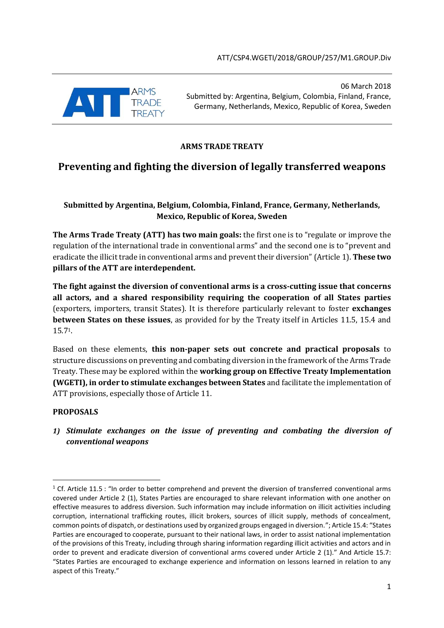

06 March 2018 Submitted by: Argentina, Belgium, Colombia, Finland, France, Germany, Netherlands, Mexico, Republic of Korea, Sweden

### **ARMS TRADE TREATY**

# **Preventing and fighting the diversion of legally transferred weapons**

# **Submitted by Argentina, Belgium, Colombia, Finland, France, Germany, Netherlands, Mexico, Republic of Korea, Sweden**

**The Arms Trade Treaty (ATT) has two main goals:** the first one is to "regulate or improve the regulation of the international trade in conventional arms" and the second one is to "prevent and eradicate the illicit trade in conventional arms and prevent their diversion" (Article 1). **These two pillars of the ATT are interdependent.**

**The fight against the diversion of conventional arms is a cross-cutting issue that concerns all actors, and a shared responsibility requiring the cooperation of all States parties** (exporters, importers, transit States). It is therefore particularly relevant to foster **exchanges between States on these issues**, as provided for by the Treaty itself in Articles 11.5, 15.4 and 15.71.

Based on these elements, **this non-paper sets out concrete and practical proposals** to structure discussions on preventing and combating diversion in the framework of the Arms Trade Treaty. These may be explored within the **working group on Effective Treaty Implementation (WGETI), in order to stimulate exchanges between States** and facilitate the implementation of ATT provisions, especially those of Article 11.

### **PROPOSALS**

**.** 

*1) Stimulate exchanges on the issue of preventing and combating the diversion of conventional weapons* 

<sup>&</sup>lt;sup>1</sup> Cf. Article 11.5 : "In order to better comprehend and prevent the diversion of transferred conventional arms covered under Article 2 (1), States Parties are encouraged to share relevant information with one another on effective measures to address diversion. Such information may include information on illicit activities including corruption, international trafficking routes, illicit brokers, sources of illicit supply, methods of concealment, common points of dispatch, or destinations used by organized groups engaged in diversion."; Article 15.4: "States Parties are encouraged to cooperate, pursuant to their national laws, in order to assist national implementation of the provisions of this Treaty, including through sharing information regarding illicit activities and actors and in order to prevent and eradicate diversion of conventional arms covered under Article 2 (1)." And Article 15.7: "States Parties are encouraged to exchange experience and information on lessons learned in relation to any aspect of this Treaty."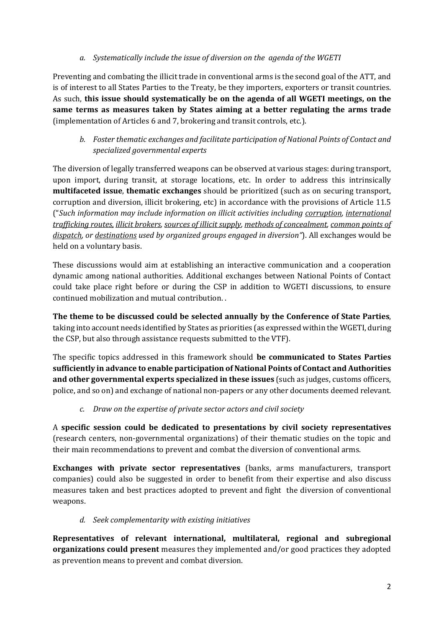### *a. Systematically include the issue of diversion on the agenda of the WGETI*

Preventing and combating the illicit trade in conventional arms is the second goal of the ATT, and is of interest to all States Parties to the Treaty, be they importers, exporters or transit countries. As such, **this issue should systematically be on the agenda of all WGETI meetings, on the same terms as measures taken by States aiming at a better regulating the arms trade** (implementation of Articles 6 and 7, brokering and transit controls, etc.).

# *b. Foster thematic exchanges and facilitate participation of National Points of Contact and specialized governmental experts*

The diversion of legally transferred weapons can be observed at various stages: during transport, upon import, during transit, at storage locations, etc. In order to address this intrinsically **multifaceted issue**, **thematic exchanges** should be prioritized (such as on securing transport, corruption and diversion, illicit brokering, etc) in accordance with the provisions of Article 11.5 ("*Such information may include information on illicit activities including corruption, international trafficking routes, illicit brokers, sources of illicit supply, methods of concealment, common points of dispatch, or destinations used by organized groups engaged in diversion"*). All exchanges would be held on a voluntary basis.

These discussions would aim at establishing an interactive communication and a cooperation dynamic among national authorities. Additional exchanges between National Points of Contact could take place right before or during the CSP in addition to WGETI discussions, to ensure continued mobilization and mutual contribution. .

**The theme to be discussed could be selected annually by the Conference of State Parties**, taking into account needs identified by States as priorities (as expressed within the WGETI, during the CSP, but also through assistance requests submitted to the VTF).

The specific topics addressed in this framework should **be communicated to States Parties sufficiently in advance to enable participation of National Points of Contact and Authorities and other governmental experts specialized in these issues** (such as judges, customs officers, police, and so on) and exchange of national non-papers or any other documents deemed relevant.

### *c. Draw on the expertise of private sector actors and civil society*

A **specific session could be dedicated to presentations by civil society representatives**  (research centers, non-governmental organizations) of their thematic studies on the topic and their main recommendations to prevent and combat the diversion of conventional arms.

**Exchanges with private sector representatives** (banks, arms manufacturers, transport companies) could also be suggested in order to benefit from their expertise and also discuss measures taken and best practices adopted to prevent and fight the diversion of conventional weapons.

# *d. Seek complementarity with existing initiatives*

**Representatives of relevant international, multilateral, regional and subregional organizations could present** measures they implemented and/or good practices they adopted as prevention means to prevent and combat diversion.